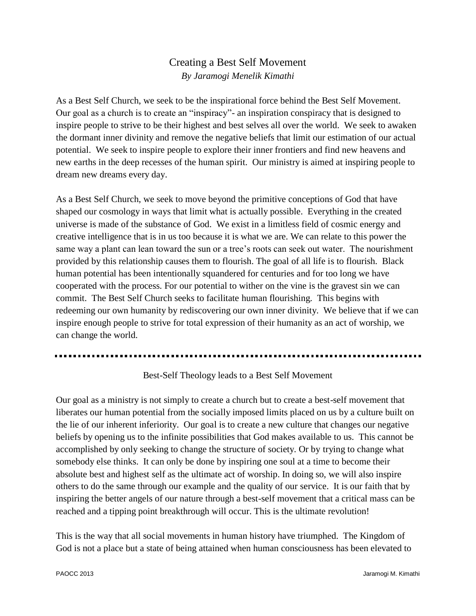## Creating a Best Self Movement *By Jaramogi Menelik Kimathi*

As a Best Self Church, we seek to be the inspirational force behind the Best Self Movement. Our goal as a church is to create an "inspiracy"- an inspiration conspiracy that is designed to inspire people to strive to be their highest and best selves all over the world. We seek to awaken the dormant inner divinity and remove the negative beliefs that limit our estimation of our actual potential. We seek to inspire people to explore their inner frontiers and find new heavens and new earths in the deep recesses of the human spirit. Our ministry is aimed at inspiring people to dream new dreams every day.

As a Best Self Church, we seek to move beyond the primitive conceptions of God that have shaped our cosmology in ways that limit what is actually possible. Everything in the created universe is made of the substance of God. We exist in a limitless field of cosmic energy and creative intelligence that is in us too because it is what we are. We can relate to this power the same way a plant can lean toward the sun or a tree's roots can seek out water. The nourishment provided by this relationship causes them to flourish. The goal of all life is to flourish. Black human potential has been intentionally squandered for centuries and for too long we have cooperated with the process. For our potential to wither on the vine is the gravest sin we can commit. The Best Self Church seeks to facilitate human flourishing. This begins with redeeming our own humanity by rediscovering our own inner divinity. We believe that if we can inspire enough people to strive for total expression of their humanity as an act of worship, we can change the world.

## Best-Self Theology leads to a Best Self Movement

Our goal as a ministry is not simply to create a church but to create a best-self movement that liberates our human potential from the socially imposed limits placed on us by a culture built on the lie of our inherent inferiority. Our goal is to create a new culture that changes our negative beliefs by opening us to the infinite possibilities that God makes available to us. This cannot be accomplished by only seeking to change the structure of society. Or by trying to change what somebody else thinks. It can only be done by inspiring one soul at a time to become their absolute best and highest self as the ultimate act of worship. In doing so, we will also inspire others to do the same through our example and the quality of our service. It is our faith that by inspiring the better angels of our nature through a best-self movement that a critical mass can be reached and a tipping point breakthrough will occur. This is the ultimate revolution!

This is the way that all social movements in human history have triumphed. The Kingdom of God is not a place but a state of being attained when human consciousness has been elevated to